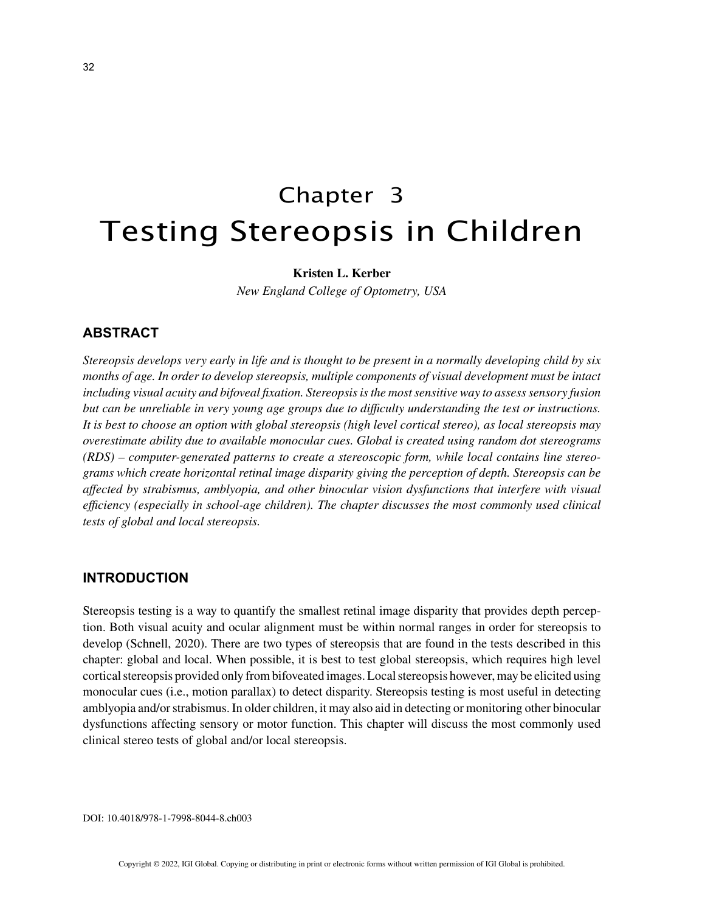# Chapter 3 Testing Stereopsis in Children

## **Kristen L. Kerber**

*New England College of Optometry, USA*

# **ABSTRACT**

*Stereopsis develops very early in life and is thought to be present in a normally developing child by six months of age. In order to develop stereopsis, multiple components of visual development must be intact including visual acuity and bifoveal fixation. Stereopsis is the most sensitive way to assess sensory fusion but can be unreliable in very young age groups due to difficulty understanding the test or instructions. It is best to choose an option with global stereopsis (high level cortical stereo), as local stereopsis may overestimate ability due to available monocular cues. Global is created using random dot stereograms (RDS) – computer-generated patterns to create a stereoscopic form, while local contains line stereograms which create horizontal retinal image disparity giving the perception of depth. Stereopsis can be affected by strabismus, amblyopia, and other binocular vision dysfunctions that interfere with visual efficiency (especially in school-age children). The chapter discusses the most commonly used clinical tests of global and local stereopsis.*

# **INTRODUCTION**

Stereopsis testing is a way to quantify the smallest retinal image disparity that provides depth perception. Both visual acuity and ocular alignment must be within normal ranges in order for stereopsis to develop (Schnell, 2020). There are two types of stereopsis that are found in the tests described in this chapter: global and local. When possible, it is best to test global stereopsis, which requires high level cortical stereopsis provided only from bifoveated images. Local stereopsis however, may be elicited using monocular cues (i.e., motion parallax) to detect disparity. Stereopsis testing is most useful in detecting amblyopia and/or strabismus. In older children, it may also aid in detecting or monitoring other binocular dysfunctions affecting sensory or motor function. This chapter will discuss the most commonly used clinical stereo tests of global and/or local stereopsis.

DOI: 10.4018/978-1-7998-8044-8.ch003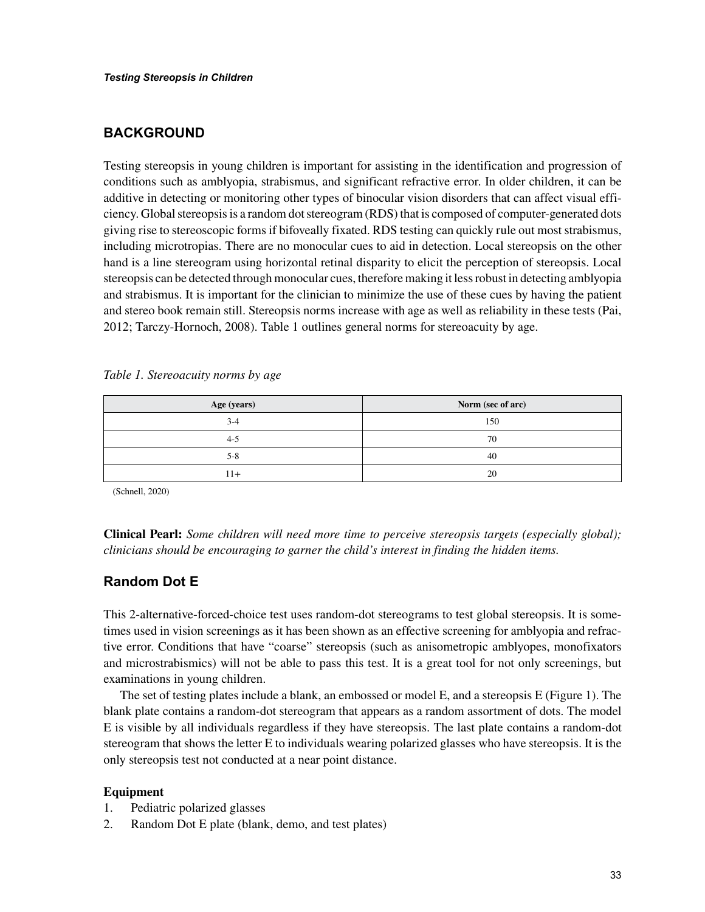# **BACKGROUND**

Testing stereopsis in young children is important for assisting in the identification and progression of conditions such as amblyopia, strabismus, and significant refractive error. In older children, it can be additive in detecting or monitoring other types of binocular vision disorders that can affect visual efficiency. Global stereopsis is a random dot stereogram (RDS) that is composed of computer-generated dots giving rise to stereoscopic forms if bifoveally fixated. RDS testing can quickly rule out most strabismus, including microtropias. There are no monocular cues to aid in detection. Local stereopsis on the other hand is a line stereogram using horizontal retinal disparity to elicit the perception of stereopsis. Local stereopsis can be detected through monocular cues, therefore making it less robust in detecting amblyopia and strabismus. It is important for the clinician to minimize the use of these cues by having the patient and stereo book remain still. Stereopsis norms increase with age as well as reliability in these tests (Pai, 2012; Tarczy-Hornoch, 2008). Table 1 outlines general norms for stereoacuity by age.

| Age (years) | Norm (sec of arc) |
|-------------|-------------------|
| $3-4$       | 150               |
| 4-5         | 70                |
| $5 - 8$     | 40                |
|             | 20                |

*Table 1. Stereoacuity norms by age*

(Schnell, 2020)

**Clinical Pearl:** *Some children will need more time to perceive stereopsis targets (especially global); clinicians should be encouraging to garner the child's interest in finding the hidden items.* 

## **Random Dot E**

This 2-alternative-forced-choice test uses random-dot stereograms to test global stereopsis. It is sometimes used in vision screenings as it has been shown as an effective screening for amblyopia and refractive error. Conditions that have "coarse" stereopsis (such as anisometropic amblyopes, monofixators and microstrabismics) will not be able to pass this test. It is a great tool for not only screenings, but examinations in young children.

The set of testing plates include a blank, an embossed or model E, and a stereopsis E (Figure 1). The blank plate contains a random-dot stereogram that appears as a random assortment of dots. The model E is visible by all individuals regardless if they have stereopsis. The last plate contains a random-dot stereogram that shows the letter E to individuals wearing polarized glasses who have stereopsis. It is the only stereopsis test not conducted at a near point distance.

#### **Equipment**

- 1. Pediatric polarized glasses
- 2. Random Dot E plate (blank, demo, and test plates)